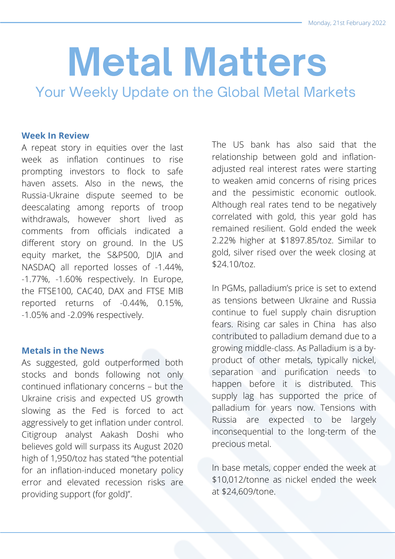# **Metal Matters**

Your Weekly Update on the Global Metal Markets

#### **Week In Review**

A repeat story in equities over the last week as inflation continues to rise prompting investors to flock to safe haven assets. Also in the news, the Russia-Ukraine dispute seemed to be deescalating among reports of troop withdrawals, however short lived as comments from officials indicated a different story on ground. In the US equity market, the S&P500, DJIA and NASDAQ all reported losses of -1.44%, -1.77%, -1.60% respectively. In Europe, the FTSE100, CAC40, DAX and FTSE MIB reported returns of -0.44%, 0.15%, -1.05% and -2.09% respectively.

#### **Metals in the News**

As suggested, gold outperformed both stocks and bonds following not only continued inflationary concerns – but the Ukraine crisis and expected US growth slowing as the Fed is forced to act aggressively to get inflation under control. Citigroup analyst Aakash Doshi who believes gold will surpass its August 2020 high of 1,950/toz has stated "the potential for an inflation-induced monetary policy error and elevated recession risks are providing support (for gold)".

The US bank has also said that the relationship between gold and inflationadjusted real interest rates were starting to weaken amid concerns of rising prices and the pessimistic economic outlook. Although real rates tend to be negatively correlated with gold, this year gold has remained resilient. Gold ended the week 2.22% higher at \$1897.85/toz. Similar to gold, silver rised over the week closing at \$24.10/toz.

In PGMs, palladium's price is set to extend as tensions between Ukraine and Russia continue to fuel supply chain disruption fears. Rising car sales in China has also contributed to palladium demand due to a growing middle-class. As Palladium is a byproduct of other metals, typically nickel, separation and purification needs to happen before it is distributed. This supply lag has supported the price of palladium for years now. Tensions with Russia are expected to be largely inconsequential to the long-term of the precious metal.

In base metals, copper ended the week at \$10,012/tonne as nickel ended the week at \$24,609/tone.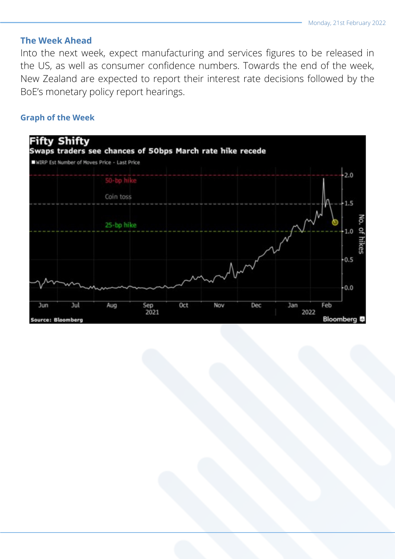## **The Week Ahead**

Into the next week, expect manufacturing and services figures to be released in the US, as well as consumer confidence numbers. Towards the end of the week, New Zealand are expected to report their interest rate decisions followed by the BoE's monetary policy report hearings.

## **Graph of the Week**

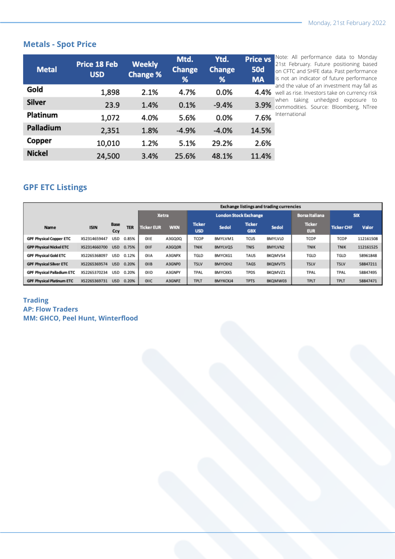# **Metals - Spot Price**

| <b>Metal</b>  | <b>Price 18 Feb</b><br><b>USD</b> | <b>Weekly</b><br><b>Change %</b> | Mtd.<br><b>Change</b><br>% | Ytd.<br><b>Change</b><br>% | <b>Price vs</b><br><b>50d</b><br><b>MA</b> |
|---------------|-----------------------------------|----------------------------------|----------------------------|----------------------------|--------------------------------------------|
| Gold          | 1,898                             | 2.1%                             | 4.7%                       | 0.0%                       | 4.4%                                       |
| <b>Silver</b> | 23.9                              | 1.4%                             | 0.1%                       | $-9.4%$                    | 3.9%                                       |
| Platinum      | 1,072                             | 4.0%                             | 5.6%                       | 0.0%                       | 7.6%                                       |
| Palladium     | 2,351                             | 1.8%                             | $-4.9%$                    | $-4.0%$                    | 14.5%                                      |
| Copper        | 10,010                            | 1.2%                             | 5.1%                       | 29.2%                      | 2.6%                                       |
| <b>Nickel</b> | 24,500                            | 3.4%                             | 25.6%                      | 48.1%                      | 11.4%                                      |

Note: All performance data to Monday 21st February. Future positioning based on CFTC and SHFE data. Past performance is not an indicator of future performance and the value of an investment may fall as well as rise. Investors take on currency risk when taking unhedged exposure to commodities. Source: Bloomberg, NTree International

# **GPF ETC Listings**

|                                   |              |                    |            | <b>Exchange listings and trading currencies</b> |            |                              |                |                             |                |                             |                   |           |
|-----------------------------------|--------------|--------------------|------------|-------------------------------------------------|------------|------------------------------|----------------|-----------------------------|----------------|-----------------------------|-------------------|-----------|
|                                   |              |                    |            | <b>Xetra</b>                                    |            | <b>London Stock Exchange</b> |                |                             |                | <b>Borsa Italiana</b>       | <b>SIX</b>        |           |
| Name                              | <b>ISIN</b>  | <b>Base</b><br>Ccy | <b>TER</b> | <b>Ticker EUR</b>                               | <b>WKN</b> | <b>Ticker</b><br><b>USD</b>  | <b>Sedol</b>   | <b>Ticker</b><br><b>GBX</b> | Sedol          | <b>Ticker</b><br><b>EUR</b> | <b>Ticker CHF</b> | Valor     |
| <b>GPF Physical Copper ETC</b>    | XS2314659447 | USD                | 0.85%      | OIIE                                            | A3GQ0Q     | TCOP                         | BMYLVM1        | TCUS                        | <b>BMYLVLO</b> | TCOP                        | TCOP              | 112161508 |
| <b>GPP Physical Nickel ETC</b>    | XS2314660700 | <b>USD</b>         | 0.75%      | OIIF                                            | A3GQ0R     | <b>TNIK</b>                  | BMYLVQ5        | <b>TNIS</b>                 | BMYLVN2        | <b>TNIK</b>                 | <b>TNIK</b>       | 112161525 |
| <b>GPF Physical Gold ETC</b>      | XS2265368097 | USD                | 0.12%      | OIIA                                            | A3GNPX     | TGLD                         | BMYCKG1        | TAUS                        | BKQMVS4        | TGLD                        | TGLD              | 58961848  |
| <b>GPF Physical Silver ETC</b>    | XS2265369574 | <b>USD</b>         | 0.20%      | OIIB                                            | A3GNPO     | <b>TSLV</b>                  | BMYCKH2        | <b>TAGS</b>                 | BKQMVT5        | <b>TSLV</b>                 | <b>TSLV</b>       | 58847211  |
| <b>GPF Physical Palladium ETC</b> | XS2265370234 | <b>USD</b>         | 0.20%      | OIID                                            | A3GNPY     | TPAL                         | <b>BMYCKK5</b> | <b>TPDS</b>                 | BKQMVZ1        | TPAL                        | TPAL              | 58847495  |
| <b>GPF Physical Platinum ETC</b>  | XS2265369731 | <b>USD</b>         | 0.20%      | OIIC                                            | A3GNPZ     | <b>TPLT</b>                  | BMYKCKJ4       | <b>TPTS</b>                 | BKQMW03        | <b>TPLT</b>                 | <b>TPLT</b>       | 58847471  |

#### **Trading AP: Flow Traders MM: GHCO, Peel Hunt, Winterflood**